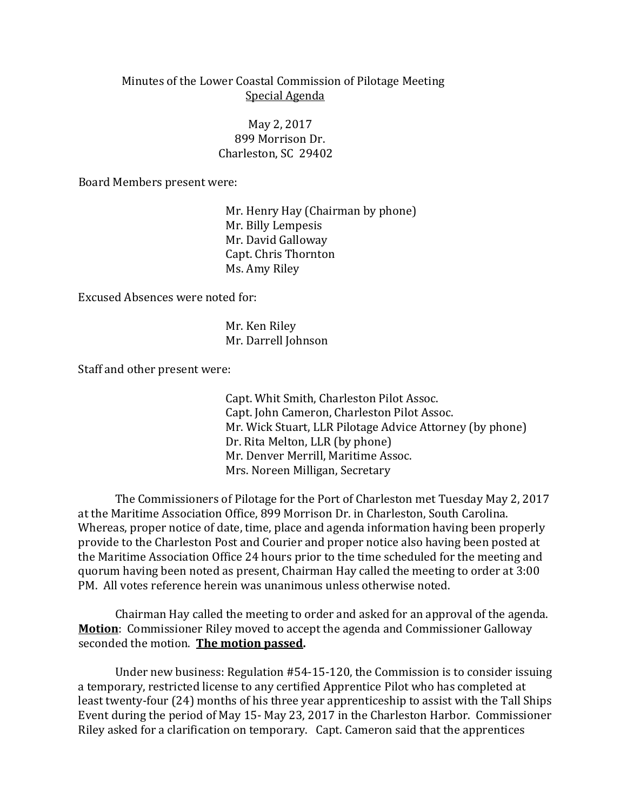## Minutes of the Lower Coastal Commission of Pilotage Meeting Special Agenda

 May 2, 2017 899 Morrison Dr. Charleston, SC 29402

Board Members present were:

Mr. Henry Hay (Chairman by phone) Mr. Billy Lempesis Mr. David Galloway Capt. Chris Thornton Ms. Amy Riley

Excused Absences were noted for:

Mr. Ken Riley Mr. Darrell Johnson

Staff and other present were:

Capt. Whit Smith, Charleston Pilot Assoc. Capt. John Cameron, Charleston Pilot Assoc. Mr. Wick Stuart, LLR Pilotage Advice Attorney (by phone) Dr. Rita Melton, LLR (by phone) Mr. Denver Merrill, Maritime Assoc. Mrs. Noreen Milligan, Secretary

The Commissioners of Pilotage for the Port of Charleston met Tuesday May 2, 2017 at the Maritime Association Office, 899 Morrison Dr. in Charleston, South Carolina. Whereas, proper notice of date, time, place and agenda information having been properly provide to the Charleston Post and Courier and proper notice also having been posted at the Maritime Association Office 24 hours prior to the time scheduled for the meeting and quorum having been noted as present, Chairman Hay called the meeting to order at 3:00 PM. All votes reference herein was unanimous unless otherwise noted.

Chairman Hay called the meeting to order and asked for an approval of the agenda. **Motion**: Commissioner Riley moved to accept the agenda and Commissioner Galloway seconded the motion. **The motion passed.**

Under new business: Regulation #54-15-120, the Commission is to consider issuing a temporary, restricted license to any certified Apprentice Pilot who has completed at least twenty-four (24) months of his three year apprenticeship to assist with the Tall Ships Event during the period of May 15- May 23, 2017 in the Charleston Harbor. Commissioner Riley asked for a clarification on temporary. Capt. Cameron said that the apprentices